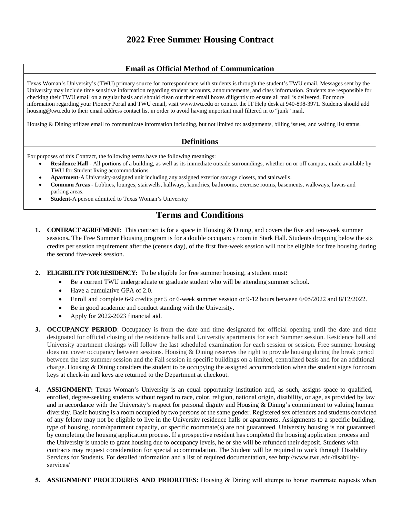### **Email as Official Method of Communication**

Texas Woman's University's (TWU) primary source for correspondence with students is through the student's TWU email. Messages sent by the University may include time sensitive information regarding student accounts, announcements, and class information. Students are responsible for checking their TWU email on a regular basis and should clean out their email boxes diligently to ensure all mail is delivered. For more information regarding your Pioneer Portal and TWU email, visit www.twu.edu or contact the IT Help desk at 940-898-3971. Students should add housing@twu.edu to their email address contact list in order to avoid having important mail filtered in to "junk" mail.

Housing & Dining utilizes email to communicate information including, but not limited to: assignments, billing issues, and waiting list status.

### **Definitions**

For purposes of this Contract, the following terms have the following meanings:

- **Residence Hall** All portions of a building, as well as its immediate outside surroundings, whether on or off campus, made available by TWU for Student living accommodations.
- **Apartment**-A University-assigned unit including any assigned exterior storage closets, and stairwells.
- **Common Areas** Lobbies, lounges, stairwells, hallways, laundries, bathrooms, exercise rooms, basements, walkways, lawns and parking areas.
- **Student**-A person admitted to Texas Woman's University

# **Terms and Conditions**

- **1. CONTRACT AGREEMENT**: This contract is for a space in Housing & Dining, and covers the five and ten-week summer sessions**.** The Free Summer Housing program is for a double occupancy room in Stark Hall. Students dropping below the six credits per session requirement after the (census day), of the first five-week session will not be eligible for free housing during the second five-week session.
- **2. ELIGIBILITY FOR RESIDENCY:** To be eligible for free summer housing, a student must**:**
	- Be a current TWU undergraduate or graduate student who will be attending summer school.
	- Have a cumulative GPA of 2.0.
	- Enroll and complete 6-9 credits per 5 or 6-week summer session or 9-12 hours between 6/05/2022 and 8/12/2022.
	- Be in good academic and conduct standing with the University.
	- Apply for 2022-2023 financial aid.
- **3. OCCUPANCY PERIOD**: Occupancy is from the date and time designated for official opening until the date and time designated for official closing of the residence halls and University apartments for each Summer session. Residence hall and University apartment closings will follow the last scheduled examination for each session or session. Free summer housing does not cover occupancy between sessions. Housing & Dining reserves the right to provide housing during the break period between the last summer session and the Fall session in specific buildings on a limited, centralized basis and for an additional charge. Housing & Dining considers the student to be occupying the assigned accommodation when the student signs for room keys at check-in and keys are returned to the Department at checkout.
- **4. ASSIGNMENT:** Texas Woman's University is an equal opportunity institution and, as such, assigns space to qualified, enrolled, degree-seeking students without regard to race, color, religion, national origin, disability, or age, as provided by law and in accordance with the University's respect for personal dignity and Housing  $\&$  Dining's commitment to valuing human diversity. Basic housing is a room occupied by two persons of the same gender. Registered sex offenders and students convicted of any felony may not be eligible to live in the University residence halls or apartments. Assignments to a specific building, type of housing, room/apartment capacity, or specific roommate(s) are not guaranteed. University housing is not guaranteed by completing the housing application process. If a prospective resident has completed the housing application process and the University is unable to grant housing due to occupancy levels, he or she will be refunded their deposit. Students with contracts may request consideration for special accommodation. The Student will be required to work through Disability Services for Students. For detailed information and a list of required documentation, [see http://www.twu.edu/disabili](http://www.twu.edu/disability-services/)tyservices/
- **5. ASSIGNMENT PROCEDURES AND PRIORITIES:** Housing & Dining will attempt to honor roommate requests when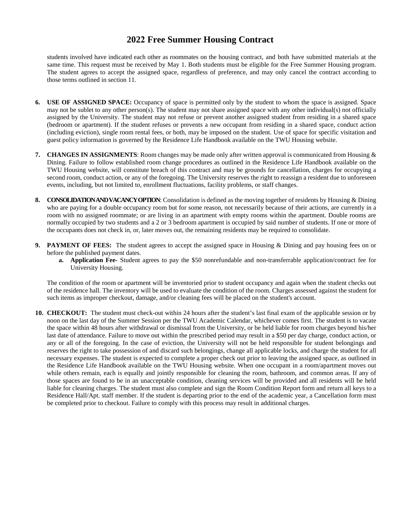students involved have indicated each other as roommates on the housing contract, and both have submitted materials at the same time. This request must be received by May 1. Both students must be eligible for the Free Summer Housing program. The student agrees to accept the assigned space, regardless of preference, and may only cancel the contract according to those terms outlined in section 11.

- **6. USE OF ASSIGNED SPACE:** Occupancy of space is permitted only by the student to whom the space is assigned. Space may not be sublet to any other person(s). The student may not share assigned space with any other individual(s) not officially assigned by the University. The student may not refuse or prevent another assigned student from residing in a shared space (bedroom or apartment). If the student refuses or prevents a new occupant from residing in a shared space, conduct action (including eviction), single room rental fees, or both, may be imposed on the student. Use of space for specific visitation and guest policy information is governed by the Residence Life Handbook available on the TWU Housing website.
- **7. CHANGES IN ASSIGNMENTS**: Room changes may be made only after written approval is communicated from Housing & Dining. Failure to follow established room change procedures as outlined in the Residence Life Handbook available on the TWU Housing website, will constitute breach of this contract and may be grounds for cancellation, charges for occupying a second room, conduct action, or any of the foregoing. The University reserves the right to reassign a resident due to unforeseen events, including, but not limited to, enrollment fluctuations, facility problems, or staff changes.
- **8. CONSOLIDATION AND VACANCY OPTION**: Consolidation is defined as the moving together of residents by Housing & Dining who are paying for a double occupancy room but for some reason, not necessarily because of their actions, are currently in a room with no assigned roommate; or are living in an apartment with empty rooms within the apartment. Double rooms are normally occupied by two students and a 2 or 3 bedroom apartment is occupied by said number of students. If one or more of the occupants does not check in, or, later moves out, the remaining residents may be required to consolidate.
- **9. PAYMENT OF FEES:** The student agrees to accept the assigned space in Housing & Dining and pay housing fees on or before the published payment dates.
	- **a. Application Fee-** Student agrees to pay the \$50 nonrefundable and non-transferrable application/contract fee for University Housing.

The condition of the room or apartment will be inventoried prior to student occupancy and again when the student checks out of the residence hall. The inventory will be used to evaluate the condition of the room. Charges assessed against the student for such items as improper checkout, damage, and/or cleaning fees will be placed on the student's account.

**10. CHECKOUT:** The student must check-out within 24 hours after the student's last final exam of the applicable session or by noon on the last day of the Summer Session per the TWU Academic Calendar, whichever comes first. The student is to vacate the space within 48 hours after withdrawal or dismissal from the University, or be held liable for room charges beyond his/her last date of attendance. Failure to move out within the prescribed period may result in a \$50 per day charge, conduct action, or any or all of the foregoing. In the case of eviction, the University will not be held responsible for student belongings and reserves the right to take possession of and discard such belongings, change all applicable locks, and charge the student for all necessary expenses. The student is expected to complete a proper check out prior to leaving the assigned space, as outlined in the Residence Life Handbook available on the TWU Housing website. When one occupant in a room/apartment moves out while others remain, each is equally and jointly responsible for cleaning the room, bathroom, and common areas. If any of those spaces are found to be in an unacceptable condition, cleaning services will be provided and all residents will be held liable for cleaning charges. The student must also complete and sign the Room Condition Report form and return all keys to a Residence Hall/Apt. staff member. If the student is departing prior to the end of the academic year, a Cancellation form must be completed prior to checkout. Failure to comply with this process may result in additional charges.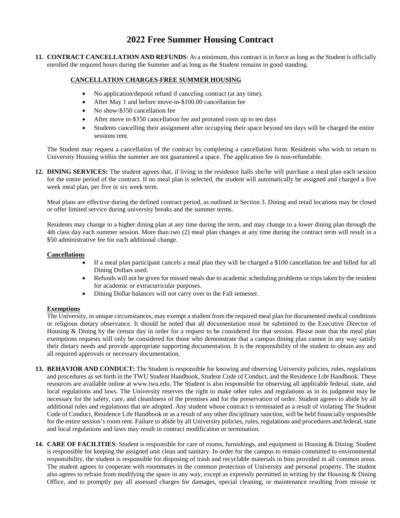**11. CONTRACT CANCELLATION AND REFUNDS**: At a minimum, this contract is in force as long as the Student is officially enrolled the required hours during the Summer and as long as the Student remains in good standing.

#### **CANCELLATION CHARGES-FREE SUMMER HOUSING**

- No application/deposit refund if canceling contract (at any time).
- After May 1 and before move-in-\$100.00 cancellation fee
- No show-\$350 cancellation fee
- After move in-\$350 cancellation fee and prorated costs up to ten days
- Students cancelling their assignment after occupying their space beyond ten days will be charged the entire sessions rent.

The Student may request a cancellation of the contract by completing a cancellation form. Residents who wish to return to University Housing within the summer are not guaranteed a space. The application fee is non-refundable.

**12. DINING SERVICES:** The student agrees that, if living in the residence halls she/he will purchase a meal plan each session for the entire period of the contract. If no meal plan is selected, the student will automatically be assigned and charged a five week meal plan, per five or six week term.

Meal plans are effective during the defined contract period, as outlined in Section 3. Dining and retail locations may be closed or offer limited service during university breaks and the summer terms.

Residents may change to a higher dining plan at any time during the term, and may change to a lower dining plan through the 4th class day each summer session. More than two (2) meal plan changes at any time during the contract term will result in a \$50 administrative fee for each additional change.

#### **Cancellations**

- If a meal plan participant cancels a meal plan they will be charged a \$100 cancellation fee and billed for all Dining Dollars used.
- Refunds will not be given for missed meals due to academic scheduling problems or trips taken by the resident for academic or extracurricular purposes.
- Dining Dollar balances will not carry over to the Fall semester.

#### **Exemptions**

The University, in unique circumstances, may exempt a student from the required meal plan for documented medical conditions or religious dietary observance. It should be noted that all documentation must be submitted to the Executive Director of Housing & Dining by the census day in order for a request to be considered for that session. Please note that the meal plan exemptions requests will only be considered for those who demonstrate that a campus dining plan cannot in any way satisfy their dietary needs and provide appropriate supporting documentation. It is the responsibility of the student to obtain any and all required approvals or necessary documentation.

- **13. BEHAVIOR AND CONDUCT:** The Student is responsible for knowing and observing University policies, rules, regulations and procedures as set forth in the TWU Student Handbook, Student Code of Conduct, and the Residence Life Handbook. These resources are available online at www.twu.edu. The Student is also responsible for observing all applicable federal, state, and local regulations and laws. The University reserves the right to make other rules and regulations as in its judgment may be necessary for the safety, care, and cleanliness of the premises and for the preservation of order. Student agrees to abide by all additional rules and regulations that are adopted. Any student whose contract is terminated as a result of violating The Student Code of Conduct, Residence Life Handbook or as a result of any other disciplinary sanction, will be held financially responsible for the entire session's room rent. Failure to abide by all University policies, rules, regulations and procedures and federal, state and local regulations and laws may result in contract modification or termination.
- **14. CARE OF FACILITIES**: Student is responsible for care of rooms, furnishings, and equipment in Housing & Dining. Student is responsible for keeping the assigned unit clean and sanitary. In order for the campus to remain committed to environmental responsibility, the student is responsible for disposing of trash and recyclable materials in bins provided in all common areas. The student agrees to cooperate with roommates in the common protection of University and personal property. The student also agrees to refrain from modifying the space in any way, except as expressly permitted in writing by the Housing & Dining Office, and to promptly pay all assessed charges for damages, special cleaning, or maintenance resulting from misuse or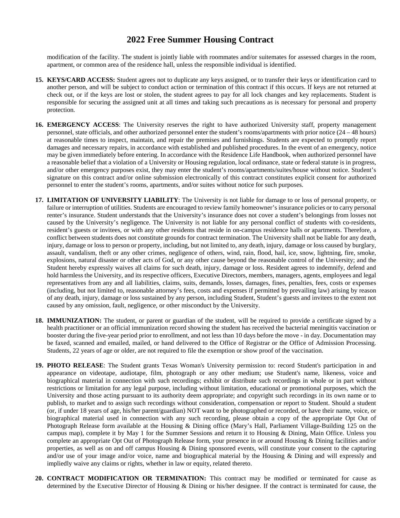modification of the facility. The student is jointly liable with roommates and/or suitemates for assessed charges in the room, apartment, or common area of the residence hall, unless the responsible individual is identified.

- **15. KEYS/CARD ACCESS:** Student agrees not to duplicate any keys assigned, or to transfer their keys or identification card to another person, and will be subject to conduct action or termination of this contract if this occurs. If keys are not returned at check out, or if the keys are lost or stolen, the student agrees to pay for all lock changes and key replacements. Student is responsible for securing the assigned unit at all times and taking such precautions as is necessary for personal and property protection.
- **16. EMERGENCY ACCESS**: The University reserves the right to have authorized University staff, property management personnel, state officials, and other authorized personnel enter the student's rooms/apartments with prior notice (24 – 48 hours) at reasonable times to inspect, maintain, and repair the premises and furnishings. Students are expected to promptly report damages and necessary repairs, in accordance with established and published procedures. In the event of an emergency, notice may be given immediately before entering. In accordance with the Residence Life Handbook, when authorized personnel have a reasonable belief that a violation of a University or Housing regulation, local ordinance, state or federal statute is in progress, and/or other emergency purposes exist, they may enter the student's rooms/apartments/suites/house without notice. Student's signature on this contract and/or online submission electronically of this contract constitutes explicit consent for authorized personnel to enter the student's rooms, apartments, and/or suites without notice for such purposes.
- **17. LIMITATION OF UNIVERSITY LIABILITY**: The University is not liable for damage to or loss of personal property, or failure or interruption of utilities. Students are encouraged to review family homeowner's insurance policies or to carry personal renter's insurance. Student understands that the University's insurance does not cover a student's belongings from losses not caused by the University's negligence. The University is not liable for any personal conflict of students with co-residents, resident's guests or invitees, or with any other residents that reside in on-campus residence halls or apartments. Therefore, a conflict between students does not constitute grounds for contract termination. The University shall not be liable for any death, injury, damage or loss to person or property, including, but not limited to, any death, injury, damage or loss caused by burglary, assault, vandalism, theft or any other crimes, negligence of others, wind, rain, flood, hail, ice, snow, lightning, fire, smoke, explosions, natural disaster or other acts of God, or any other cause beyond the reasonable control of the University; and the Student hereby expressly waives all claims for such death, injury, damage or loss. Resident agrees to indemnify, defend and hold harmless the University, and its respective officers, Executive Directors, members, managers, agents, employees and legal representatives from any and all liabilities, claims, suits, demands, losses, damages, fines, penalties, fees, costs or expenses (including, but not limited to, reasonable attorney's fees, costs and expenses if permitted by prevailing law) arising by reason of any death, injury, damage or loss sustained by any person, including Student, Student's guests and invitees to the extent not caused by any omission, fault, negligence, or other misconduct by the University.
- **18. IMMUNIZATION:** The student, or parent or guardian of the student, will be required to provide a certificate signed by a health practitioner or an official immunization record showing the student has received the bacterial meningitis vaccination or booster during the five-year period prior to enrollment, and not less than 10 days before the move - in day. Documentation may be faxed, scanned and emailed, mailed, or hand delivered to the Office of Registrar or the Office of Admission Processing. Students, 22 years of age or older, are not required to file the exemption or show proof of the vaccination.
- **19. PHOTO RELEASE**: The Student grants Texas Woman's University permission to: record Student's participation in and appearance on videotape, audiotape, film, photograph or any other medium; use Student's name, likeness, voice and biographical material in connection with such recordings; exhibit or distribute such recordings in whole or in part without restrictions or limitation for any legal purpose, including without limitation, educational or promotional purposes, which the University and those acting pursuant to its authority deem appropriate; and copyright such recordings in its own name or to publish, to market and to assign such recordings without consideration, compensation or report to Student. Should a student (or, if under 18 years of age, his/her parent/guardian) NOT want to be photographed or recorded, or have their name, voice, or biographical material used in connection with any such recording, please obtain a copy of the appropriate Opt Out of Photograph Release form available at the Housing & Dining office (Mary's Hall, Parliament Village-Building 125 on the campus map), complete it by May 1 for the Summer Sessions and return it to Housing & Dining, Main Office. Unless you complete an appropriate Opt Out of Photograph Release form, your presence in or around Housing & Dining facilities and/or properties, as well as on and off campus Housing & Dining sponsored events, will constitute your consent to the capturing and/or use of your image and/or voice, name and biographical material by the Housing & Dining and will expressly and impliedly waive any claims or rights, whether in law or equity, related thereto.
- **20. CONTRACT MODIFICATION OR TERMINATION:** This contract may be modified or terminated for cause as determined by the Executive Director of Housing & Dining or his/her designee. If the contract is terminated for cause, the